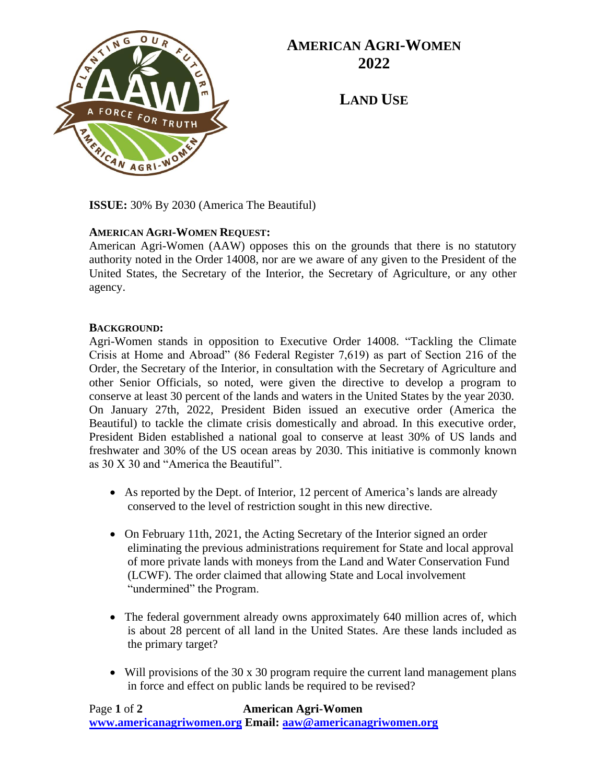

## **AMERICAN AGRI-WOMEN 2022**

**LAND USE**

**ISSUE:** 30% By 2030 (America The Beautiful)

## **AMERICAN AGRI-WOMEN REQUEST:**

American Agri-Women (AAW) opposes this on the grounds that there is no statutory authority noted in the Order 14008, nor are we aware of any given to the President of the United States, the Secretary of the Interior, the Secretary of Agriculture, or any other agency.

## **BACKGROUND:**

Agri-Women stands in opposition to Executive Order 14008. "Tackling the Climate Crisis at Home and Abroad" (86 Federal Register 7,619) as part of Section 216 of the Order, the Secretary of the Interior, in consultation with the Secretary of Agriculture and other Senior Officials, so noted, were given the directive to develop a program to conserve at least 30 percent of the lands and waters in the United States by the year 2030. On January 27th, 2022, President Biden issued an executive order (America the Beautiful) to tackle the climate crisis domestically and abroad. In this executive order, President Biden established a national goal to conserve at least 30% of US lands and freshwater and 30% of the US ocean areas by 2030. This initiative is commonly known as 30 X 30 and "America the Beautiful".

- As reported by the Dept. of Interior, 12 percent of America's lands are already conserved to the level of restriction sought in this new directive.
- On February 11th, 2021, the Acting Secretary of the Interior signed an order eliminating the previous administrations requirement for State and local approval of more private lands with moneys from the Land and Water Conservation Fund (LCWF). The order claimed that allowing State and Local involvement "undermined" the Program.
- The federal government already owns approximately 640 million acres of, which is about 28 percent of all land in the United States. Are these lands included as the primary target?
- Will provisions of the 30 x 30 program require the current land management plans in force and effect on public lands be required to be revised?